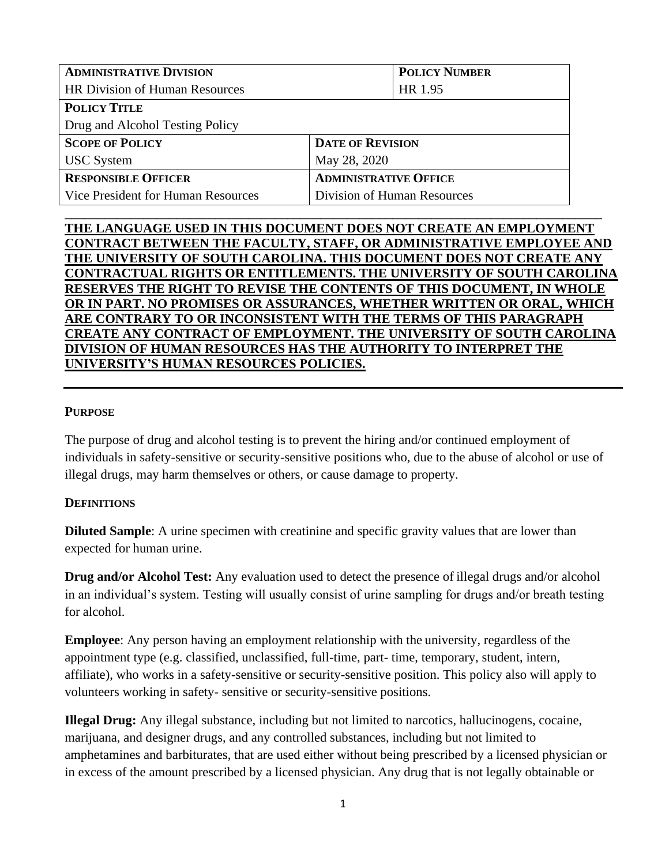| <b>ADMINISTRATIVE DIVISION</b>        | <b>POLICY NUMBER</b>         |  |
|---------------------------------------|------------------------------|--|
| <b>HR Division of Human Resources</b> | HR 1.95                      |  |
| <b>POLICY TITLE</b>                   |                              |  |
| Drug and Alcohol Testing Policy       |                              |  |
| <b>SCOPE OF POLICY</b>                | <b>DATE OF REVISION</b>      |  |
| <b>USC</b> System                     | May 28, 2020                 |  |
| <b>RESPONSIBLE OFFICER</b>            | <b>ADMINISTRATIVE OFFICE</b> |  |
| Vice President for Human Resources    | Division of Human Resources  |  |

# **THE LANGUAGE USED IN THIS DOCUMENT DOES NOT CREATE AN EMPLOYMENT CONTRACT BETWEEN THE FACULTY, STAFF, OR ADMINISTRATIVE EMPLOYEE AND THE UNIVERSITY OF SOUTH CAROLINA. THIS DOCUMENT DOES NOT CREATE ANY CONTRACTUAL RIGHTS OR ENTITLEMENTS. THE UNIVERSITY OF SOUTH CAROLINA RESERVES THE RIGHT TO REVISE THE CONTENTS OF THIS DOCUMENT, IN WHOLE OR IN PART. NO PROMISES OR ASSURANCES, WHETHER WRITTEN OR ORAL, WHICH ARE CONTRARY TO OR INCONSISTENT WITH THE TERMS OF THIS PARAGRAPH CREATE ANY CONTRACT OF EMPLOYMENT. THE UNIVERSITY OF SOUTH CAROLINA DIVISION OF HUMAN RESOURCES HAS THE AUTHORITY TO INTERPRET THE UNIVERSITY'S HUMAN RESOURCES POLICIES.**

**\_\_\_\_\_\_\_\_\_\_\_\_\_\_\_\_\_\_\_\_\_\_\_\_\_\_\_\_\_\_\_\_\_\_\_\_\_\_\_\_\_\_\_\_\_\_\_\_\_\_\_\_\_\_\_\_\_\_\_\_\_\_\_\_\_\_\_\_\_\_\_\_\_\_\_\_\_\_\_\_\_\_**

#### **PURPOSE**

The purpose of drug and alcohol testing is to prevent the hiring and/or continued employment of individuals in safety-sensitive or security-sensitive positions who, due to the abuse of alcohol or use of illegal drugs, may harm themselves or others, or cause damage to property.

#### **DEFINITIONS**

**Diluted Sample:** A urine specimen with creatinine and specific gravity values that are lower than expected for human urine.

**Drug and/or Alcohol Test:** Any evaluation used to detect the presence of illegal drugs and/or alcohol in an individual's system. Testing will usually consist of urine sampling for drugs and/or breath testing for alcohol.

**Employee**: Any person having an employment relationship with the university, regardless of the appointment type (e.g. classified, unclassified, full-time, part- time, temporary, student, intern, affiliate), who works in a safety-sensitive or security-sensitive position. This policy also will apply to volunteers working in safety- sensitive or security-sensitive positions.

**Illegal Drug:** Any illegal substance, including but not limited to narcotics, hallucinogens, cocaine, marijuana, and designer drugs, and any controlled substances, including but not limited to amphetamines and barbiturates, that are used either without being prescribed by a licensed physician or in excess of the amount prescribed by a licensed physician. Any drug that is not legally obtainable or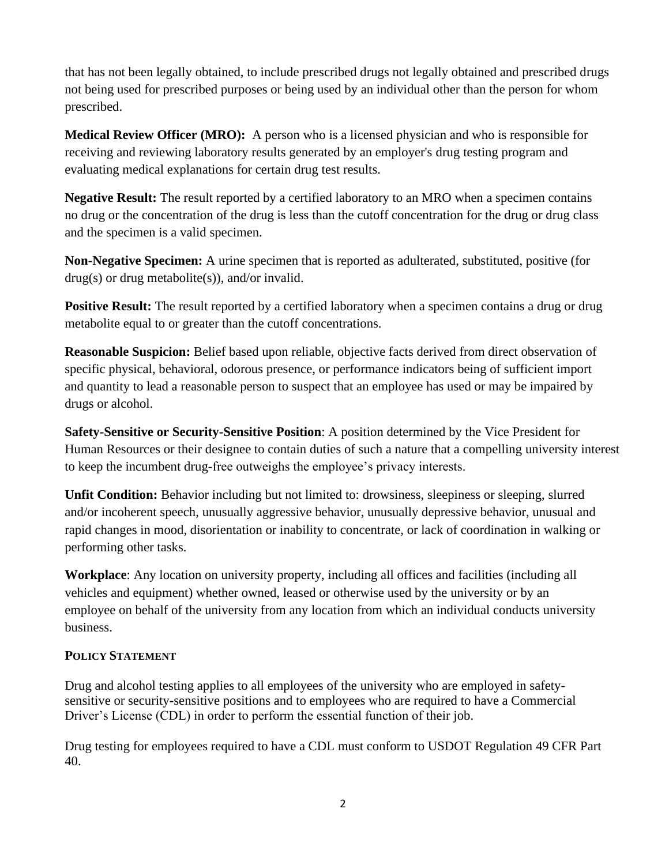that has not been legally obtained, to include prescribed drugs not legally obtained and prescribed drugs not being used for prescribed purposes or being used by an individual other than the person for whom prescribed.

**Medical Review Officer (MRO):** A person who is a licensed physician and who is responsible for receiving and reviewing laboratory results generated by an employer's drug testing program and evaluating medical explanations for certain drug test results.

**Negative Result:** The result reported by a certified laboratory to an MRO when a specimen contains no drug or the concentration of the drug is less than the cutoff concentration for the drug or drug class and the specimen is a valid specimen.

**Non-Negative Specimen:** A urine specimen that is reported as adulterated, substituted, positive (for drug(s) or drug metabolite(s)), and/or invalid.

**Positive Result:** The result reported by a certified laboratory when a specimen contains a drug or drug metabolite equal to or greater than the cutoff concentrations.

**Reasonable Suspicion:** Belief based upon reliable, objective facts derived from direct observation of specific physical, behavioral, odorous presence, or performance indicators being of sufficient import and quantity to lead a reasonable person to suspect that an employee has used or may be impaired by drugs or alcohol.

**Safety-Sensitive or Security-Sensitive Position**: A position determined by the Vice President for Human Resources or their designee to contain duties of such a nature that a compelling university interest to keep the incumbent drug-free outweighs the employee's privacy interests.

**Unfit Condition:** Behavior including but not limited to: drowsiness, sleepiness or sleeping, slurred and/or incoherent speech, unusually aggressive behavior, unusually depressive behavior, unusual and rapid changes in mood, disorientation or inability to concentrate, or lack of coordination in walking or performing other tasks.

**Workplace**: Any location on university property, including all offices and facilities (including all vehicles and equipment) whether owned, leased or otherwise used by the university or by an employee on behalf of the university from any location from which an individual conducts university business.

# **POLICY STATEMENT**

Drug and alcohol testing applies to all employees of the university who are employed in safetysensitive or security-sensitive positions and to employees who are required to have a Commercial Driver's License (CDL) in order to perform the essential function of their job.

Drug testing for employees required to have a CDL must conform to USDOT Regulation 49 CFR Part 40.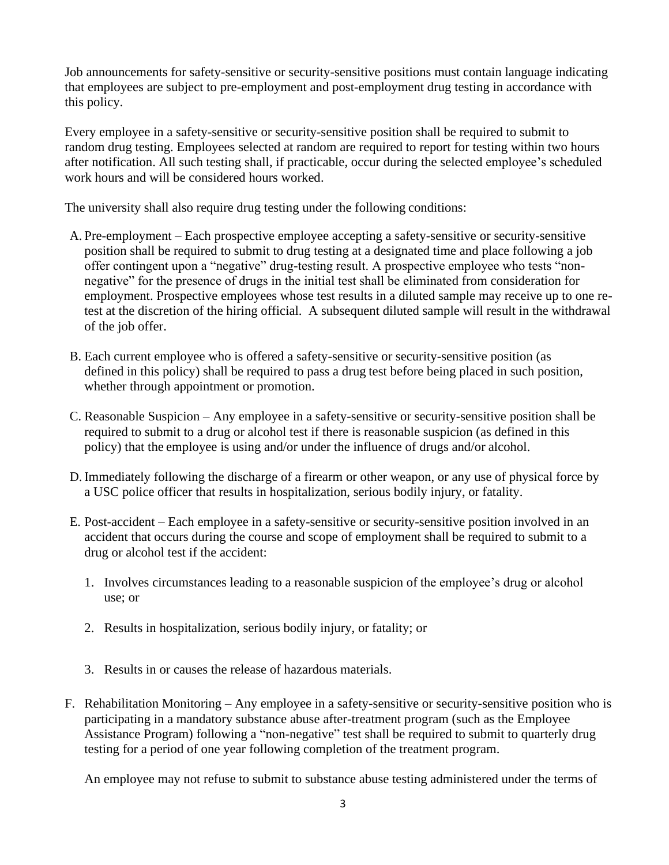Job announcements for safety-sensitive or security-sensitive positions must contain language indicating that employees are subject to pre-employment and post-employment drug testing in accordance with this policy.

Every employee in a safety-sensitive or security-sensitive position shall be required to submit to random drug testing. Employees selected at random are required to report for testing within two hours after notification. All such testing shall, if practicable, occur during the selected employee's scheduled work hours and will be considered hours worked.

The university shall also require drug testing under the following conditions:

- A. Pre-employment Each prospective employee accepting a safety-sensitive or security-sensitive position shall be required to submit to drug testing at a designated time and place following a job offer contingent upon a "negative" drug-testing result. A prospective employee who tests "nonnegative" for the presence of drugs in the initial test shall be eliminated from consideration for employment. Prospective employees whose test results in a diluted sample may receive up to one retest at the discretion of the hiring official. A subsequent diluted sample will result in the withdrawal of the job offer.
- B. Each current employee who is offered a safety-sensitive or security-sensitive position (as defined in this policy) shall be required to pass a drug test before being placed in such position, whether through appointment or promotion.
- C. Reasonable Suspicion Any employee in a safety-sensitive or security-sensitive position shall be required to submit to a drug or alcohol test if there is reasonable suspicion (as defined in this policy) that the employee is using and/or under the influence of drugs and/or alcohol.
- D. Immediately following the discharge of a firearm or other weapon, or any use of physical force by a USC police officer that results in hospitalization, serious bodily injury, or fatality.
- E. Post-accident Each employee in a safety-sensitive or security-sensitive position involved in an accident that occurs during the course and scope of employment shall be required to submit to a drug or alcohol test if the accident:
	- 1. Involves circumstances leading to a reasonable suspicion of the employee's drug or alcohol use; or
	- 2. Results in hospitalization, serious bodily injury, or fatality; or
	- 3. Results in or causes the release of hazardous materials.
- F. Rehabilitation Monitoring Any employee in a safety-sensitive or security-sensitive position who is participating in a mandatory substance abuse after-treatment program (such as the Employee Assistance Program) following a "non-negative" test shall be required to submit to quarterly drug testing for a period of one year following completion of the treatment program.

An employee may not refuse to submit to substance abuse testing administered under the terms of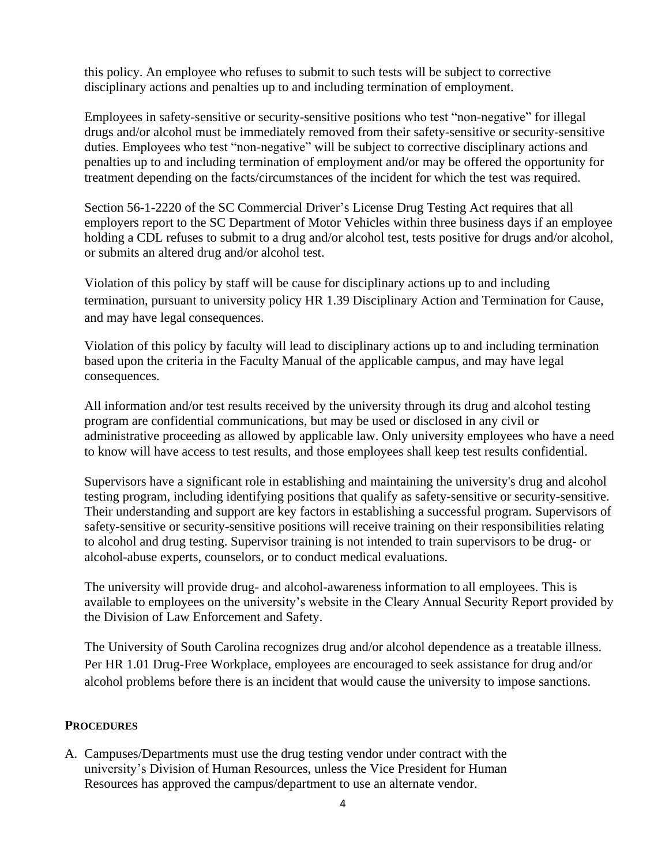this policy. An employee who refuses to submit to such tests will be subject to corrective disciplinary actions and penalties up to and including termination of employment.

Employees in safety-sensitive or security-sensitive positions who test "non-negative" for illegal drugs and/or alcohol must be immediately removed from their safety-sensitive or security-sensitive duties. Employees who test "non-negative" will be subject to corrective disciplinary actions and penalties up to and including termination of employment and/or may be offered the opportunity for treatment depending on the facts/circumstances of the incident for which the test was required.

Section 56-1-2220 of the SC Commercial Driver's License Drug Testing Act requires that all employers report to the SC Department of Motor Vehicles within three business days if an employee holding a CDL refuses to submit to a drug and/or alcohol test, tests positive for drugs and/or alcohol, or submits an altered drug and/or alcohol test.

Violation of this policy by staff will be cause for disciplinary actions up to and including termination, pursuant to university policy HR 1.39 Disciplinary Action and Termination for Cause, and may have legal consequences.

Violation of this policy by faculty will lead to disciplinary actions up to and including termination based upon the criteria in the Faculty Manual of the applicable campus, and may have legal consequences.

All information and/or test results received by the university through its drug and alcohol testing program are confidential communications, but may be used or disclosed in any civil or administrative proceeding as allowed by applicable law. Only university employees who have a need to know will have access to test results, and those employees shall keep test results confidential.

Supervisors have a significant role in establishing and maintaining the university's drug and alcohol testing program, including identifying positions that qualify as safety-sensitive or security-sensitive. Their understanding and support are key factors in establishing a successful program. Supervisors of safety-sensitive or security-sensitive positions will receive training on their responsibilities relating to alcohol and drug testing. Supervisor training is not intended to train supervisors to be drug- or alcohol-abuse experts, counselors, or to conduct medical evaluations.

The university will provide drug- and alcohol-awareness information to all employees. This is available to employees on the university's website in the Cleary Annual Security Report provided by the Division of Law Enforcement and Safety.

The University of South Carolina recognizes drug and/or alcohol dependence as a treatable illness. Per HR 1.01 Drug-Free Workplace, employees are encouraged to seek assistance for drug and/or alcohol problems before there is an incident that would cause the university to impose sanctions.

## **PROCEDURES**

A. Campuses/Departments must use the drug testing vendor under contract with the university's Division of Human Resources, unless the Vice President for Human Resources has approved the campus/department to use an alternate vendor.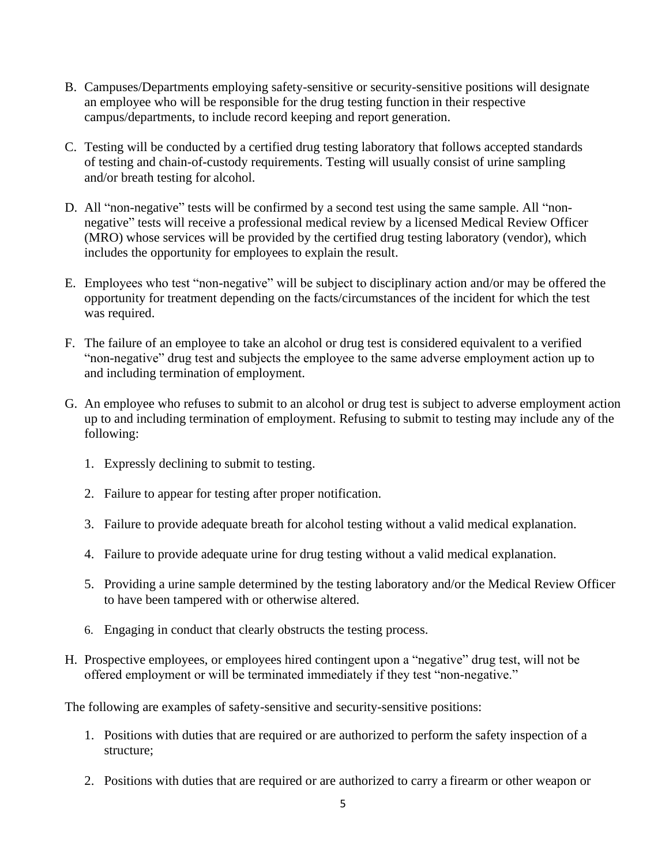- B. Campuses/Departments employing safety-sensitive or security-sensitive positions will designate an employee who will be responsible for the drug testing function in their respective campus/departments, to include record keeping and report generation.
- C. Testing will be conducted by a certified drug testing laboratory that follows accepted standards of testing and chain-of-custody requirements. Testing will usually consist of urine sampling and/or breath testing for alcohol.
- D. All "non-negative" tests will be confirmed by a second test using the same sample. All "nonnegative" tests will receive a professional medical review by a licensed Medical Review Officer (MRO) whose services will be provided by the certified drug testing laboratory (vendor), which includes the opportunity for employees to explain the result.
- E. Employees who test "non-negative" will be subject to disciplinary action and/or may be offered the opportunity for treatment depending on the facts/circumstances of the incident for which the test was required.
- F. The failure of an employee to take an alcohol or drug test is considered equivalent to a verified "non-negative" drug test and subjects the employee to the same adverse employment action up to and including termination of employment.
- G. An employee who refuses to submit to an alcohol or drug test is subject to adverse employment action up to and including termination of employment. Refusing to submit to testing may include any of the following:
	- 1. Expressly declining to submit to testing.
	- 2. Failure to appear for testing after proper notification.
	- 3. Failure to provide adequate breath for alcohol testing without a valid medical explanation.
	- 4. Failure to provide adequate urine for drug testing without a valid medical explanation.
	- 5. Providing a urine sample determined by the testing laboratory and/or the Medical Review Officer to have been tampered with or otherwise altered.
	- 6. Engaging in conduct that clearly obstructs the testing process.
- H. Prospective employees, or employees hired contingent upon a "negative" drug test, will not be offered employment or will be terminated immediately if they test "non-negative."

The following are examples of safety-sensitive and security-sensitive positions:

- 1. Positions with duties that are required or are authorized to perform the safety inspection of a structure;
- 2. Positions with duties that are required or are authorized to carry a firearm or other weapon or